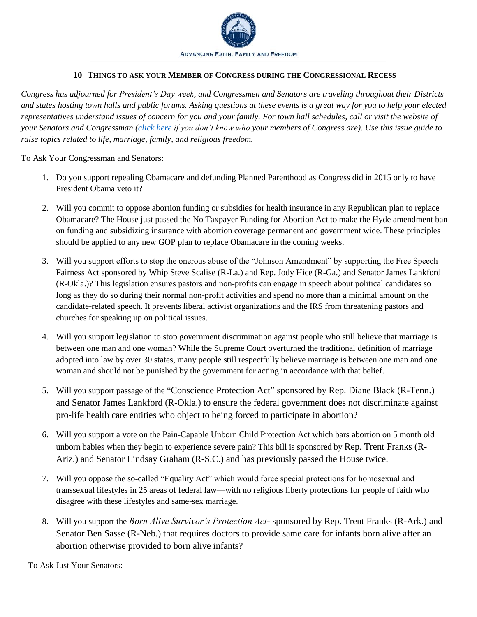

## **10 THINGS TO ASK YOUR MEMBER OF CONGRESS DURING THE CONGRESSIONAL RECESS**

*Congress has adjourned for President's Day week, and Congressmen and Senators are traveling throughout their Districts and states hosting town halls and public forums. Asking questions at these events is a great way for you to help your elected representatives understand issues of concern for you and your family. For town hall schedules, call or visit the website of your Senators and Congressman [\(click here](https://www.frcaction.org/contact-officials) if you don't know who your members of Congress are). Use this issue guide to raise topics related to life, marriage, family, and religious freedom.* 

To Ask Your Congressman and Senators:

- 1. Do you support repealing Obamacare and defunding Planned Parenthood as Congress did in 2015 only to have President Obama veto it?
- 2. Will you commit to oppose abortion funding or subsidies for health insurance in any Republican plan to replace Obamacare? The House just passed the No Taxpayer Funding for Abortion Act to make the Hyde amendment ban on funding and subsidizing insurance with abortion coverage permanent and government wide. These principles should be applied to any new GOP plan to replace Obamacare in the coming weeks.
- 3. Will you support efforts to stop the onerous abuse of the "Johnson Amendment" by supporting the Free Speech Fairness Act sponsored by Whip Steve Scalise (R-La.) and Rep. Jody Hice (R-Ga.) and Senator James Lankford (R-Okla.)? This legislation ensures pastors and non-profits can engage in speech about political candidates so long as they do so during their normal non-profit activities and spend no more than a minimal amount on the candidate-related speech. It prevents liberal activist organizations and the IRS from threatening pastors and churches for speaking up on political issues.
- 4. Will you support legislation to stop government discrimination against people who still believe that marriage is between one man and one woman? While the Supreme Court overturned the traditional definition of marriage adopted into law by over 30 states, many people still respectfully believe marriage is between one man and one woman and should not be punished by the government for acting in accordance with that belief.
- 5. Will you support passage of the "Conscience Protection Act" sponsored by Rep. Diane Black (R-Tenn.) and Senator James Lankford (R-Okla.) to ensure the federal government does not discriminate against pro-life health care entities who object to being forced to participate in abortion?
- 6. Will you support a vote on the Pain-Capable Unborn Child Protection Act which bars abortion on 5 month old unborn babies when they begin to experience severe pain? This bill is sponsored by Rep. Trent Franks (R-Ariz.) and Senator Lindsay Graham (R-S.C.) and has previously passed the House twice.
- 7. Will you oppose the so-called "Equality Act" which would force special protections for homosexual and transsexual lifestyles in 25 areas of federal law—with no religious liberty protections for people of faith who disagree with these lifestyles and same-sex marriage.
- 8. Will you support the *Born Alive Survivor's Protection Act* sponsored by Rep. Trent Franks (R-Ark.) and Senator Ben Sasse (R-Neb.) that requires doctors to provide same care for infants born alive after an abortion otherwise provided to born alive infants?

To Ask Just Your Senators: